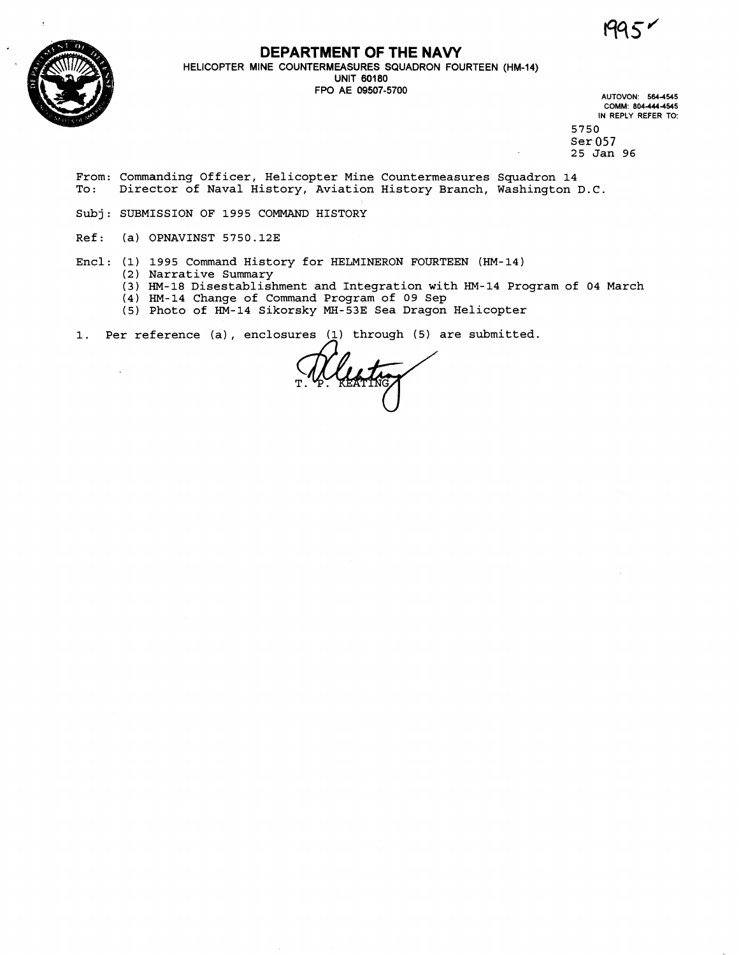' **1-\ <sup>J</sup>**



**DEPARTMENT OF THE NAVY**<br>HELICOPTER MINE COUNTERMEASURES SQUADRON FOURTEEN (HM-14) UNIT 60180<br>FPO AE 09507-5700

FPO AE 09507-5700 **AUTOVON. 5644545 COMM' 8044444515 IN REPLY REFER TO:** 

5750 Ser 057 25 Jan 96

- From: Commanding Officer, Helicopter Mine Countermeasures Squadron 14<br>To: Director of Naval History, Aviation History Branch, Washington Director of Naval History, Aviation History Branch, Washington D.C.
- Subj: SUBMISSION OF 1995 COMMAND HISTORY
- Ref: (a) OPNAVINST 5750.12E

 $\bar{z}$ 

- Encl: (1) 1995 Command History for HEMINERON FOURTEEN (HM-14) (2) Narrative Summary
	- (3) HM-18 Disestablishment and Integration with HM-14 Program of 04 March
	- (4) HM-14 Change of Command Program of 09 Sep
	- (5) Photo of HM-14 Sikorsky MH-53E Sea Dragon Helicopter
- 1. Per reference (a), enclosures (1) through (5) are submitted.

Wleathy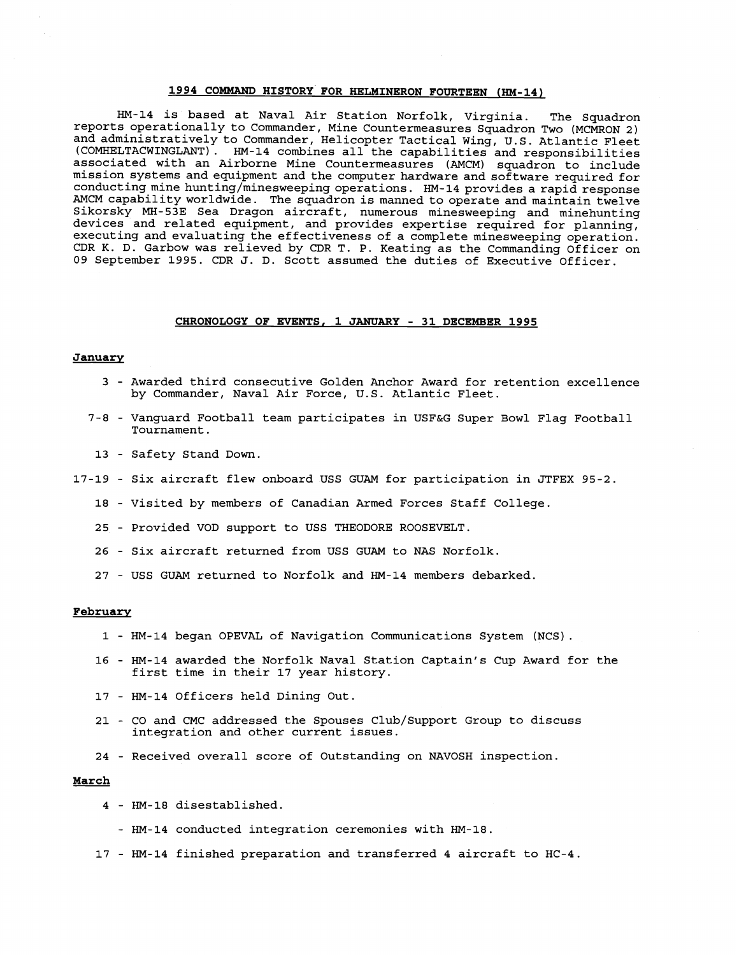## **1994 COMMAND HISTORY FOR HELMINERON FOURTEEN (HM-14)**

HM-14 is based at Naval Air Station Norfolk, Virginia. The Squadron reports operationally to Commander, Mine Countermeasures Squadron Two (MCMRON 2) and administratively to Commander, Helicopter Tactical Wing, U.S. Atlantic Fleet (COMHELTACWINGLANT) . HM-14 combines all the capabilities and responsibilities associated with an Airborne Mine Countermeasures (AMCM) squadron to include mission systems and equipment and the computer hardware and software required for conducting mine hunting/minesweeping operations. HM-14 provides a rapid response AMCM capability worldwide. The squadron is manned to operate and maintain twelve Sikorsky MH-53E Sea Dragon aircraft, numerous minesweeping and minehunting devices and related equipment, and provides expertise required for planning, executing and evaluating the effectiveness of a complete minesweeping operation. CDR K. D. Garbow was relieved by CDR T. P. eating as the Commanding Officer on 09 September 1995. CDR J. D. Scott assumed the duties of Executive Officer.

#### **CHRONOLOGY OF EVENTS, 1 JANUARY** - **31 DECEMBER 1995**

## **January**

- 3 Awarded third consecutive Golden Anchor Award for retention excellence by Commander, Naval Air Force, U.S. Atlantic Fleet.
- 7-8 Vanguard Football team participates in USF&G Super Bowl Flag Football Tournament.
- 13 Safety Stand Down.
- 17-19 Six aircraft flew onboard USS GUAM for participation in JTFEX 95-2.
	- 18 Visited by members of Canadian Armed Forces Staff College.
	- 25 Provided VOD support to USS THEODORE ROOSEVELT.
	- 26 Six aircraft returned from USS GUAM to NAS Norfolk.
	- 27 USS GUAM returned to Norfolk and HM-14 members debarked.

## **Februarv**

- 1 HM-14 began OPEVAL of Navigation Communications System (NCS).
- 16 HM-14 awarded the Norfolk Naval Station Captain's Cup Award for the first time in their 17 year history.
- 17 HM-14 Officers held Dining Out.
- 21 CO and CMC addressed the Spouses Club/Support Group to discuss integration and other current issues.
- 24 Received overall score of Outstanding on NAVOSH inspection.

## **March**

- 4 HM-18 disestablished.
	- HM-14 conducted integration ceremonies with HM-18.
- 17 HM-14 finished preparation and transferred 4 aircraft to HC-4.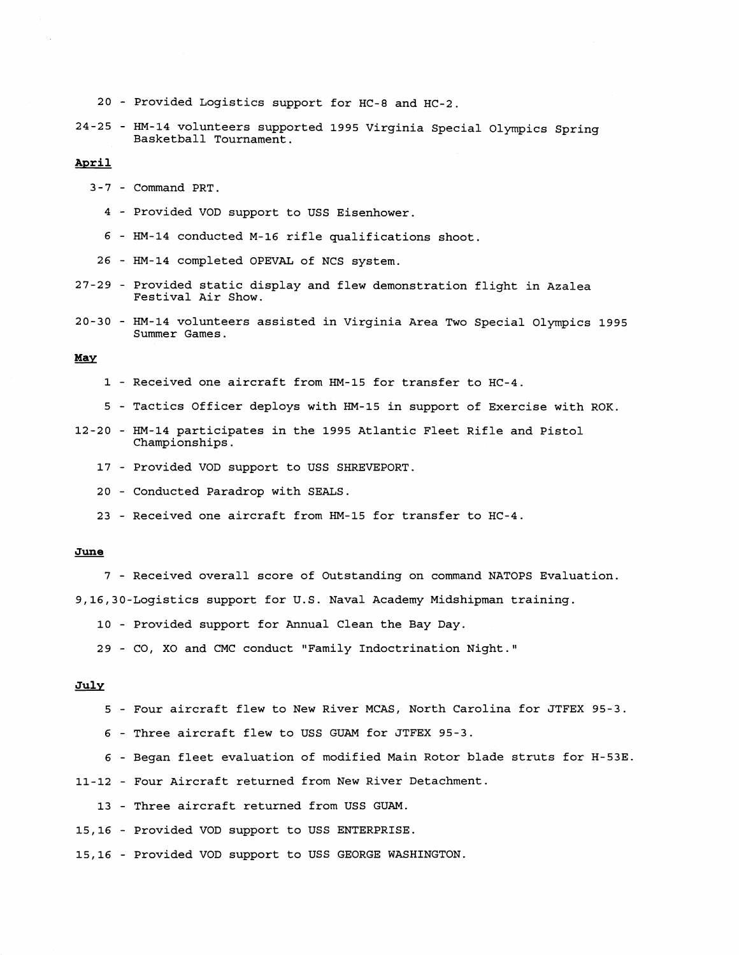- 20 Provided Logistics support for HC-8 and HC-2.
- 24-25 HM-14 volunteers supported 1995 Virginia Special Olympics Spring Basketball Tournament.

# **April**

- 3-7 Command PRT.
	- 4 Provided VOD support to USS Eisenhower.
	- 6 HM-14 conducted M-16 rifle qualifications shoot.
- 26 HM-14 completed OPEVAL of NCS system.
- 27-29 Provided static display and flew demonstration flight in Azalea Festival Air Show.
- 20-30 HM-14 volunteers assisted in Virginia Area Two Special Olympics 1995 Summer Games.

# *May*

- 1 Received one aircraft from HM-15 for transfer to HC-4.
- 5 Tactics Officer deploys with HM-15 in support of Exercise with ROK.
- 12-20 HM-14 participates in the 1995 Atlantic Fleet Rifle and Pistol Championships.
	- 17 Provided VOD support to USS SHREVEPORT.
	- 20 Conducted Paradrop with SEALS.
	- 23 Received one aircraft from HM-15 for transfer to HC-4.

## **June**

7 - Received overall score of Outstanding on command NATOPS Evaluation.

9,16,30-Logistics support for U.S. Naval Academy Midshipman training.

- 10 Provided support for Annual Clean the Bay Day.
- 29 CO, XO and CMC conduct "Family Indoctrination Night."

# **July**

- 5 Four aircraft flew to New River MCAS, North Carolina for JTFEX 95-3.
- 6 Three aircraft flew to USS GUAM for JTFEX 95-3.
- 6 Began fleet evaluation of modified Main Rotor blade struts for H-53E.

11-12 - Four Aircraft returned from New River Detachment.

13 - Three aircraft returned from USS GUAM.

15,16 - Provided VOD support to USS ENTERPRISE.

15,16 - Provided VOD support to USS GEORGE WASHINGTON.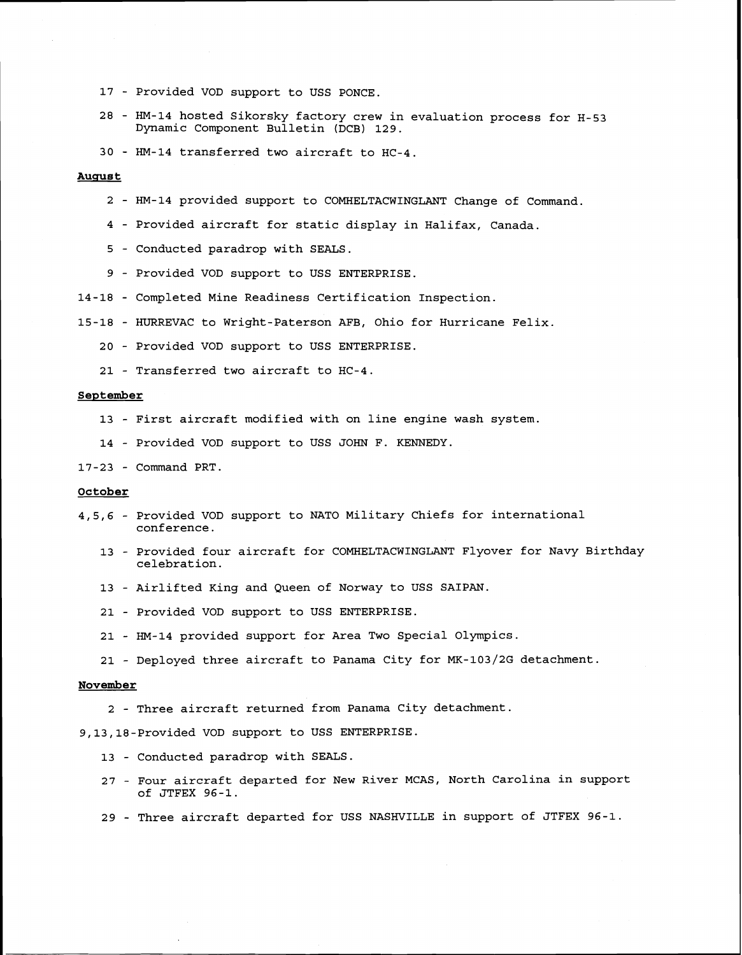- Provided VOD support to USS PONCE
- HM-14 hosted Sikorsky factory crew in evaluation process for H-53 Dynamic Component Bulletin (DCB) 129.
- HM-14 transferred two aircraft to HC-4.

# **Auqus t**

- HM-14 provided support to COMHELTACWINGLANT Change of Command
- Provided aircraft for static display in Halifax, Canada.
- Conducted paradrop with SEALS.
- Provided VOD support to USS ENTERPRISE.
- 14-18 Completed Mine Readiness Certification Inspection.
- 15-18 HURREVAC to Wright-Paterson AFB, Ohio for Hurricane Felix.
	- Provided VOD support to USS ENTERPRISE.
	- Transferred two aircraft to HC-4

## **September**

- First aircraft modified with on line engine wash system.
- Provided VOD support to USS JOHN F. KENNEDY.

# 17-23 - Command PRT.

# **October**

- 4,5,6 Provided VOD support to NATO Military Chiefs for international conference.
	- Provided four aircraft for COMHELTACWINGLANT Flyover for Navy Birthday celebration.
	- Airlifted King and Queen of Norway to USS SAIPAN.
	- Provided VOD support to USS ENTERPRISE.
	- HM-14 provided support for Area Two Special Olympics.
	- Deployed three aircraft to Panama City for MK-103/2G detachment.

## **November**

- Three aircraft returned from Panama City detachment

# 9,13,18-Provided VOD support to USS ENTERPRISE.

- Conducted paradrop with SEALS.
- Four aircraft departed for New River MCAS, North Carolina in support of JTFEX 96-1.
- Three aircraft departed for USS NASHVILLE in support of JTFEX 96-1.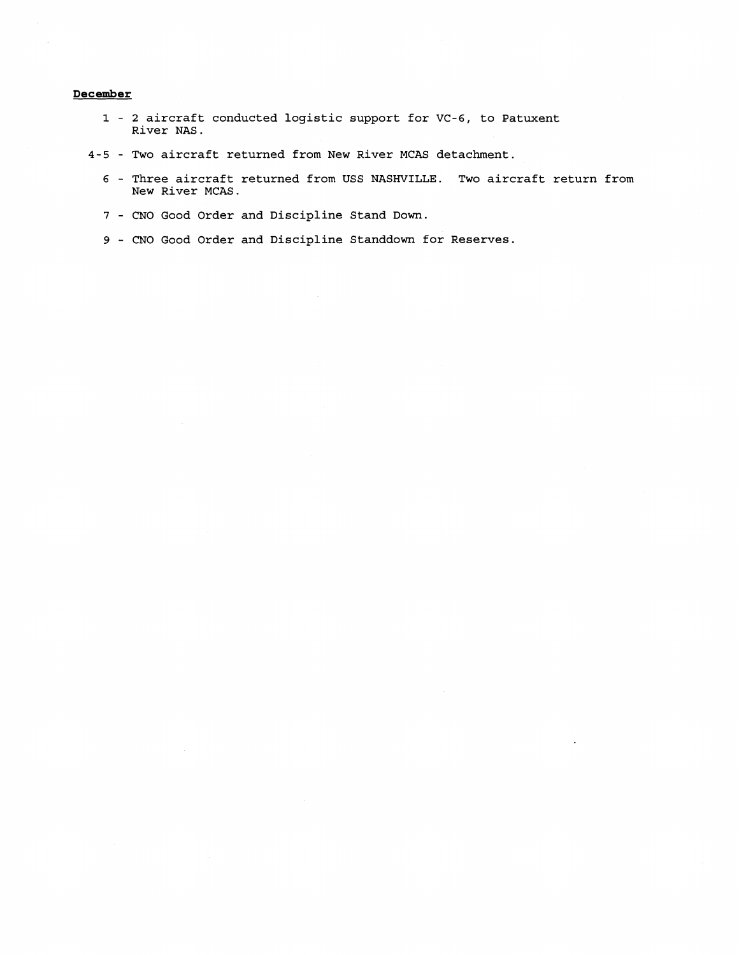# **December**

- **1 2 aircraft conducted logistic support for VC-6, to Patuxent River NAS.**
- **4-5 Two aircraft returned from New River MCAS detachment.** 
	- **6 Three aircraft returned from USS NASHVILLE. Two aircraft return from New River MCAS.**
	- **7 CNO Good Order and Discipline Stand Down.**
	- **9 CNO Good Order and Discipline Standdown for Reserves.**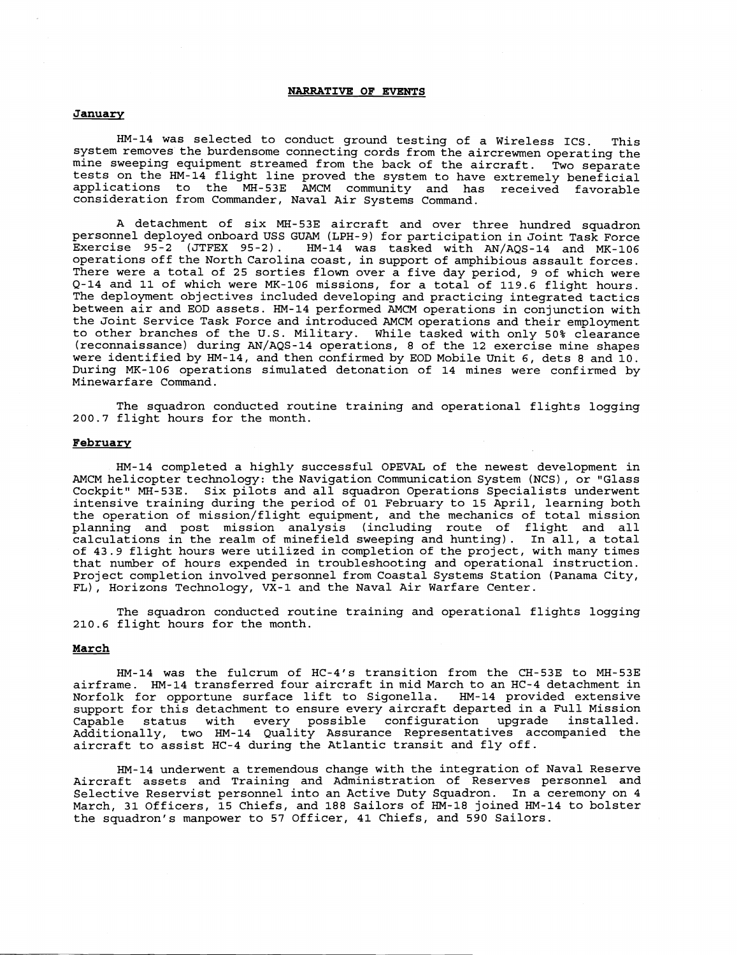## **NARRATIVE OF EVENTS**

## **January**

HM-14 was selected to conduct ground testing of a Wireless ICS. This system removes the burdensome connecting cords from the aircrewmen operating the mine sweeping equipment streamed from the back of the aircraft. Two separate tests on the HM-14 flight line proved the system to have extremely beneficial applications to the MH-53E AMCM community and has received favorable consideration from Commander, Naval Air Systems Command.

A detachment of six MH-53E aircraft and over three hundred squadron personnel deployed onboard USS GUAM (LPH-9) for participation in Joint Task Force Exercise 95-2 (JTFEX 95-21. HM-14 was tasked with AN/AQS-14 and MK-106 operations off the North Carolina coast, in support of amphibious assault forces. There were a total of 25 sorties flown over a five day period, 9 of which were Q-14 and 11 of which were MK-106 missions, for a total of 119.6 flight hours. The deployment objectives included developing and practicing integrated tactics between air and EOD assets. HM-14 performed AMCM operations in conjunction with the Joint Service Task Force and introduced AMCM operations and their employment to other branches of the U.S. Military. While tasked with only 50% clearance  $(reconnalssance)$  during  $AN/AGS-14$  operations, 8 of the 12 exercise mine shapes were identified by HM-14, and then confirmed by EOD Mobile Unit 6, dets 8 and 10. During MK-106 operations simulated detonation of 14 mines were confirmed by Minewarfare Command.

The squadron conducted routine training and operational flights logging 200.7 flight hours for the month.

## **February**

HM-14 completed a highly successful OPEVAL of the newest development in AMCM helicopter technology: the Navigation Communication System (NCS), or "Glass Cockpit" MH-53E. Six pilots and all squadron Operations Specialists underwent intensive training during the period of 01 February to 15 April, learning both the operation of mission/flight equipment, and the mechanics of total mission planning and post mission analysis (including route of flight and all calculations in the realm of minefield sweeping and hunting). In all, a total of 43.9 flight hours were utilized in completion of the project, with many times that number of hours expended in troubleshooting and operational instruction. Project completion involved personnel from Coastal Systems Station (Panama City, FL), Horizons Technology, VX-1 and the Naval Air Warfare Center.

The squadron conducted routine training and operational flights logging 210.6 flight hours for the month.

# **March**

HM-14 was the fulcrum of HC-4's transition from the CH-53E to MH-53E airframe. HM-14 transferred four aircraft in mid March to an HC-4 detachment in Norfolk for opportune surface lift to Sigonella. HM-14 provided extensive support for this detachment to ensure every aircraft departed in a Full Mission Capable status with every possible configuration upgrade installed. Additionally, two HM-14 Quality Assurance Representatives accompanied the aircraft to assist HC-4 during the Atlantic transit and fly off.

HM-14 underwent a tremendous change with the integration of Naval Reserve Aircraft assets and Training and Administration of Reserves personnel and Selective Reservist personnel into an Active Duty Squadron. In a ceremony on 4 March, 31 Officers, 15 Chiefs, and 188 Sailors of HM-18 joined HM-14 to bolster the squadron's manpower to 57 Officer, 41 Chiefs, and 590 Sailors.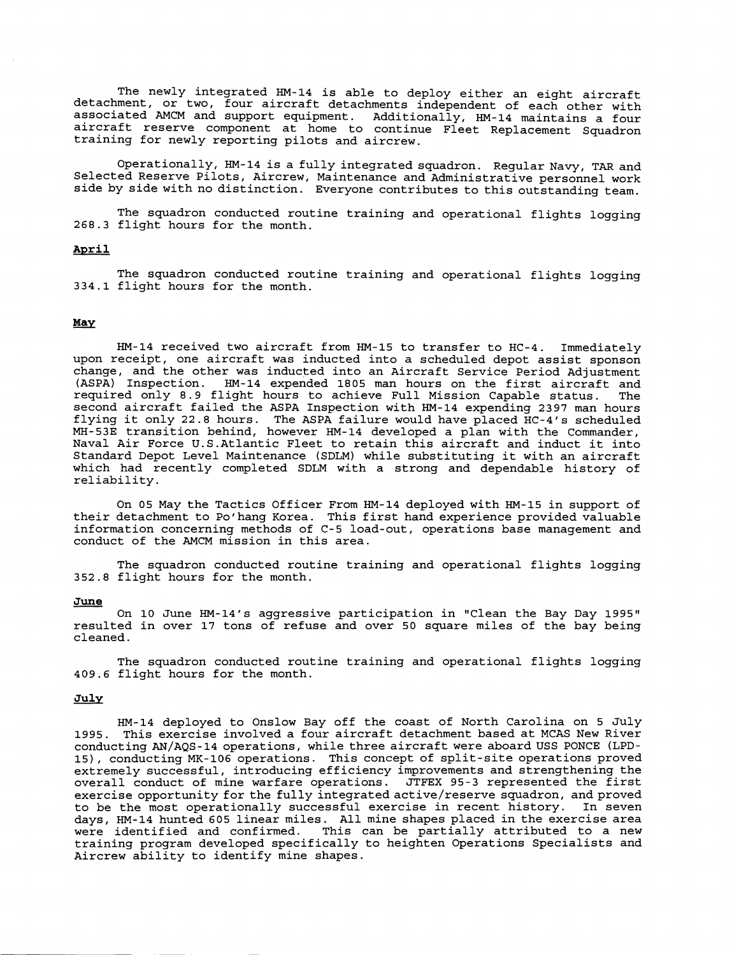The newly integrated HM-14 is able to deploy either an eight aircraft detachment, or two, four aircraft detachments independent of each other with associated AMCM and support equipment. Additionally, HM-14 maintains a four aircraft reserve component at home to continue Fleet Replacement Squadron training for newly reporting pilots and aircrew.

Operationally, HM-14 is a fully integrated squadron. Regular Navy, TAR and Selected Reserve Pilots, Aircrew, Maintenance and Administrative personnel work side by side with no distinction. Everyone contributes to this outstanding team.

The squadron conducted routine training and operational flights logging 268.3 flight hours for the month.

# **April**

The squadron conducted routine training and operational flights logging 334.1 flight hours for the month.

# May

HM-14 received two aircraft from HM-15 to transfer to HC-4. Immediately upon receipt, one aircraft was inducted into a scheduled depot assist sponson change, and the other was inducted into an Aircraft Service Period Adjustment (ASPA) Inspection. HM-14 expended 1805 man hours on the first aircraft and required only 8.9 flight hours to achieve Full Mission Capable status. The second aircraft failed the ASPA Inspection with HM-14 expending 2397 man hours flying it only 22.8 hours. The ASPA failure would have placed HC-4's scheduled MH-53E transition behind, however HM-14 developed a plan with the Commander, Naval Air Force U.S.Atlantic Fleet to retain this aircraft and induct it into Standard Depot Level Maintenance (SDLM) while substituting it with an aircraft which had recently completed SDLM with a strong and dependable history of reliability.

On 05 May the Tactics Officer From HM-14 deployed with HM-15 in support of their detachment to Po'hang Korea. This first hand experience provided valuable information concerning methods of C-5 load-out, operations base management and conduct of the AMCM mission in this area.

The squadron conducted routine training and operational flights logging 352.8 flight hours for the month.

#### **June**

On 10 June HM-14's aggressive participation in "Clean the Bay Day 1995" resulted in over 17 tons of refuse and over 50 square miles of the bay being cleaned.

The squadron conducted routine training and operational flights logging 409.6 flight hours for the month.

# **Julv**

HM-14 deployed to Onslow Bay off the coast of North Carolina on 5 July 1995. This exercise involved a four aircraft detachment based at MCAS New River conducting AN/AQS-14 operations, while three aircraft were aboard USS PONCE (LPD-IS), conducting MK-106 operations. This concept of split-site operations proved extremely successful, introducing efficiency improvements and strengthening the<br>overall conduct of mine warfare operations. JTFEX 95-3 represented the first overall conduct of mine warfare operations. exercise opportunity forthe fully **integratedactive/reserve** squadron, and proved to be the most operationally successful exercise in recent history. In seven days, HM-14 hunted 605 linear miles. All mine shapes placed in the exercise area This can be partially attributed to a new training program developed specifically to heighten Operations Specialists and Aircrew ability to identify mine shapes.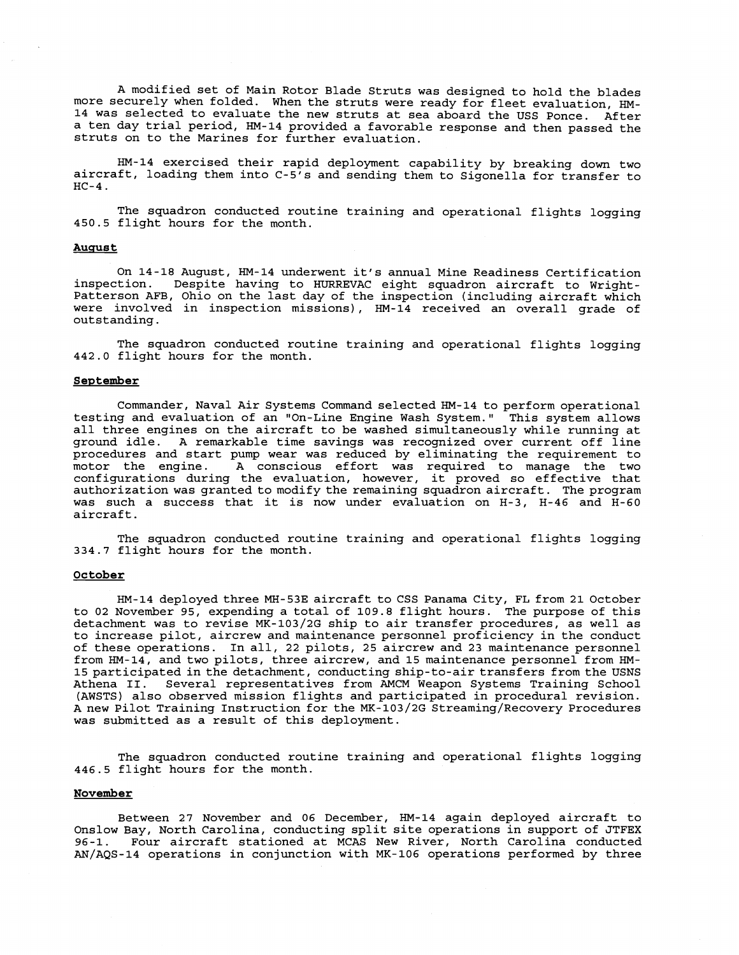A modified set of Main Rotor Blade Struts was designed to hold the blades more securely when folded. When the struts were ready for fleet evaluation, HM-14 was selected to evaluate the new struts at sea aboard the USS Ponce. After a ten day trial period, HM-14 provided a favorable response and then passed the struts on to the Marines for further evaluation.

HM-14 exercised their rapid deployment capability by breaking down two aircraft, loading them into C-5's and sending them to Sigonella for transfer to  $HC-4$ .

The squadron conducted routine training and operational flights logging 450.5 flight hours for the month.

#### **Auqus t**

On 14-18 August, HM-14 underwent it's annual Mine Readiness Certification<br>inspection – Despite baying to HIIPPEVAC eight squadron aircraft to Wright. Despite having to HURREVAC eight squadron aircraft to Wright-Patterson AFB, Ohio on the last day of the inspection (including aircraft which were involved in inspection missions), HM-14 received an overall grade of outstanding.

The squadron conducted routine training and operational flights logging 442.0 flight hours for the month.

## **September**

Commander, Naval Air Systems Command selected HM-14 to perform operational testing and evaluation of an "On-Line Engine Wash System." This system allows all three engines on the aircraft to be washed simultaneously while running at ground idle. A remarkable time savings was recognized over current off line procedures and start pump wear was reduced by eliminating the requirement to motor the engine. A conscious effort was required to manage the two configurations during the evaluation, however, it proved so effective that authorization was granted to modify the remaining squadron aircraft. The program was such a success that it is now under evaluation on H-3, H-46 and H-60 aircraft .

The squadron conducted routine training and operational flights logging 334.7 flight hours for the month.

## **October**

HM-14 deployed three MH-53E aircraft to CSS Panama City, FL from 21 October to 02 November 95, expending a total of 109.8 flight hours. The purpose of this detachment was to revise MK-103/2G ship to air transfer procedures, as well as to increase pilot, aircrew and maintenance personnel proficiency in the conduct of these operations. In all, 22 pilots, 25 aircrew and 23 maintenance personnel from HM-14, and two pilots, three aircrew, and 15 maintenance personnel from HM-15 participated in the detachment, conducting ship-to-air transfers from the USNS<br>Athena II. Several representatives from AMCM Weapon Systems Training School Several representatives from AMCM Weapon Systems Training School (AWSTS) also observed mission flights and participated in procedural revision. A new Pilot Training Instruction for the MK-103/2G Streaming/Recovery Procedures was submitted as a result of this deployment.

The squadron conducted routine training and operational flights logging 446.5 flight hours for the month.

## **November**

Between 27 November and 06 December, HM-14 again deployed aircraft to Onslow Bay, North Carolina, conducting split site operations in support of JTFEX 96-1. Four aircraft stationed at MCAS New River, North Carolina conducted AN/AQS-14 operations in conjunction with MK-106 operations performed by three